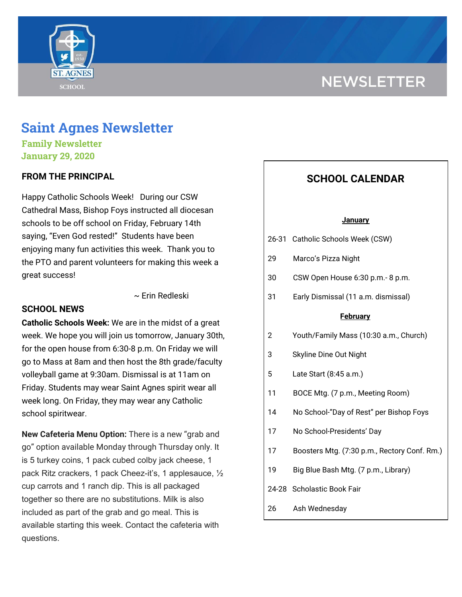# **NEWSLETTER**



# **Saint Agnes Newsletter**

**Family Newsletter January 29, 2020**

### **FROM THE PRINCIPAL**

Happy Catholic Schools Week! During our CSW Cathedral Mass, Bishop Foys instructed all diocesan schools to be off school on Friday, February 14th saying, "Even God rested!" Students have been enjoying many fun activities this week. Thank you to the PTO and parent volunteers for making this week a great success!

~ Erin Redleski

### **SCHOOL NEWS**

**Catholic Schools Week:** We are in the midst of a great week. We hope you will join us tomorrow, January 30th, for the open house from 6:30-8 p.m. On Friday we will go to Mass at 8am and then host the 8th grade/faculty volleyball game at 9:30am. Dismissal is at 11am on Friday. Students may wear Saint Agnes spirit wear all week long. On Friday, they may wear any Catholic school spiritwear.

**New Cafeteria Menu Option:** There is a new "grab and go" option available Monday through Thursday only. It is 5 turkey coins, 1 pack cubed colby jack cheese, 1 pack Ritz crackers, 1 pack Cheez-it's, 1 applesauce, ½ cup carrots and 1 ranch dip. This is all packaged together so there are no substitutions. Milk is also included as part of the grab and go meal. This is available starting this week. Contact the cafeteria with questions.

## **SCHOOL CALENDAR**

#### **January**

|  | 26-31 Catholic Schools Week (CSW) |  |  |
|--|-----------------------------------|--|--|
|--|-----------------------------------|--|--|

- 29 Marco's Pizza Night
- 30 CSW Open House 6:30 p.m.- 8 p.m.
- 31 Early Dismissal (11 a.m. dismissal)

#### **February**

- 2 Youth/Family Mass (10:30 a.m., Church)
- 3 Skyline Dine Out Night
- 5 Late Start (8:45 a.m.)
- 11 BOCE Mtg. (7 p.m., Meeting Room)
- 14 No School-"Day of Rest" per Bishop Foys
- 17 No School-Presidents' Day
- 17 Boosters Mtg. (7:30 p.m., Rectory Conf. Rm.)
- 19 Big Blue Bash Mtg. (7 p.m., Library)
- 24-28 Scholastic Book Fair
- 26 Ash Wednesday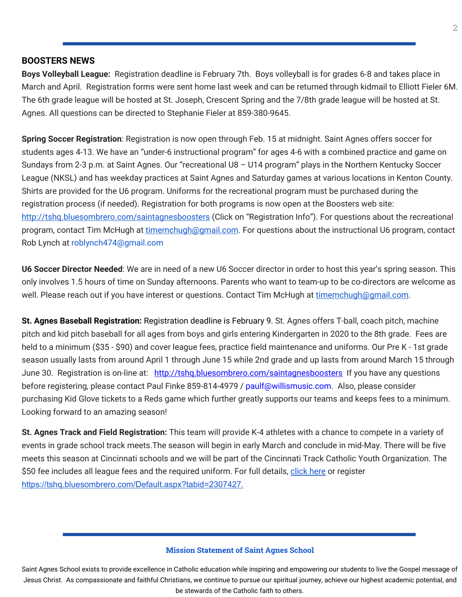#### **BOOSTERS NEWS**

**Boys Volleyball League:** Registration deadline is February 7th. Boys volleyball is for grades 6-8 and takes place in March and April. Registration forms were sent home last week and can be returned through kidmail to Elliott Fieler 6M. The 6th grade league will be hosted at St. Joseph, Crescent Spring and the 7/8th grade league will be hosted at St. Agnes. All questions can be directed to Stephanie Fieler at 859-380-9645.

**Spring Soccer Registration**: Registration is now open through Feb. 15 at midnight. Saint Agnes offers soccer for students ages 4-13. We have an "under-6 instructional program" for ages 4-6 with a combined practice and game on Sundays from 2-3 p.m. at Saint Agnes. Our "recreational U8 – U14 program" plays in the Northern Kentucky Soccer League (NKSL) and has weekday practices at Saint Agnes and Saturday games at various locations in Kenton County. Shirts are provided for the U6 program. Uniforms for the recreational program must be purchased during the registration process (if needed). Registration for both programs is now open at the Boosters web site: <http://tshq.bluesombrero.com/saintagnesboosters> (Click on "Registration Info"). For questions about the recreational program, contact Tim McHugh at [timemchugh@gmail.com](mailto:timemchugh@gmail.com). For questions about the instructional U6 program, contact Rob Lynch at roblynch474@gmail.com

**U6 Soccer Director Needed**: We are in need of a new U6 Soccer director in order to host this year's spring season. This only involves 1.5 hours of time on Sunday afternoons. Parents who want to team-up to be co-directors are welcome as well. Please reach out if you have interest or questions. Contact Tim McHugh at [timemchugh@gmail.com.](mailto:timemchugh@gmail.com)

**St. Agnes Baseball Registration:** Registration deadline is February 9. St. Agnes offers T-ball, coach pitch, machine pitch and kid pitch baseball for all ages from boys and girls entering Kindergarten in 2020 to the 8th grade. Fees are held to a minimum (\$35 - \$90) and cover league fees, practice field maintenance and uniforms. Our Pre K - 1st grade season usually lasts from around April 1 through June 15 while 2nd grade and up lasts from around March 15 through June 30. Registration is on-line at: <http://tshq.bluesombrero.com/saintagnesboosters> If you have any questions before registering, please contact Paul Finke 859-814-4979 / paulf@willismusic.com. Also, please consider purchasing Kid Glove tickets to a Reds game which further greatly supports our teams and keeps fees to a minimum. Looking forward to an amazing season!

**St. Agnes Track and Field Registration:** This team will provide K-4 athletes with a chance to compete in a variety of events in grade school track meets.The season will begin in early March and conclude in mid-May. There will be five meets this season at Cincinnati schools and we will be part of the Cincinnati Track Catholic Youth Organization. The \$50 fee includes all league fees and the required uniform. For full details, [click](https://school.saintagnes.com/wp-content/uploads/2020/01/2020-track-and-field-saint-agnes.pdf) here or register <https://tshq.bluesombrero.com/Default.aspx?tabid=2307427>[.](https://school.saintagnes.com/wp-content/uploads/2020/01/2020-st-agnes-track-and-field.pdf)

#### **Mission Statement of Saint Agnes School**

Saint Agnes School exists to provide excellence in Catholic education while inspiring and empowering our students to live the Gospel message of Jesus Christ. As compassionate and faithful Christians, we continue to pursue our spiritual journey, achieve our highest academic potential, and be stewards of the Catholic faith to others.